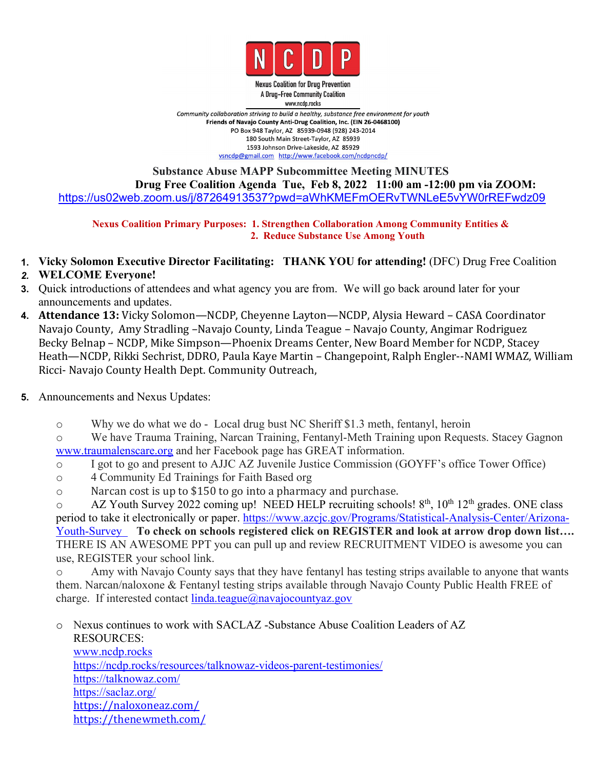

**Nexus Coalition for Drug Prevention** A Drug-Free Community Coalition www.ncdp.rocks

Community collaboration striving to build a healthy, substance free environment for youth Friends of Navajo County Anti-Drug Coalition, Inc. (EIN 26-0468100) PO Box 948 Taylor, AZ 85939-0948 (928) 243-2014 180 South Main Street-Taylor, AZ 85939 1593 Johnson Drive-Lakeside, AZ 85929 vsncdp@gmail.com http://www.facebook.com/ncdpncdp/

### **Substance Abuse MAPP Subcommittee Meeting MINUTES Drug Free Coalition Agenda Tue, Feb 8, 2022 11:00 am -12:00 pm via ZOOM:** <https://us02web.zoom.us/j/87264913537?pwd=aWhKMEFmOERvTWNLeE5vYW0rREFwdz09>

**Nexus Coalition Primary Purposes: 1. Strengthen Collaboration Among Community Entities & 2. Reduce Substance Use Among Youth**

**1. Vicky Solomon Executive Director Facilitating: THANK YOU for attending!** (DFC) Drug Free Coalition

### *2.* **WELCOME Everyone!**

- **3.** Quick introductions of attendees and what agency you are from. We will go back around later for your announcements and updates.
- **4. Attendance 13:** Vicky Solomon—NCDP, Cheyenne Layton—NCDP, Alysia Heward CASA Coordinator Navajo County, Amy Stradling –Navajo County, Linda Teague – Navajo County, Angimar Rodriguez Becky Belnap – NCDP, Mike Simpson—Phoenix Dreams Center, New Board Member for NCDP, Stacey Heath—NCDP, Rikki Sechrist, DDRO, Paula Kaye Martin – Changepoint, Ralph Engler--NAMI WMAZ, William Ricci- Navajo County Health Dept. Community Outreach,
- **5.** Announcements and Nexus Updates:
	- o Why we do what we do Local drug bust NC Sheriff \$1.3 meth, fentanyl, heroin

o We have Trauma Training, Narcan Training, Fentanyl-Meth Training upon Requests. Stacey Gagnon [www.traumalenscare.org](http://www.traumalenscare.org) and her Facebook page has GREAT information.

- o I got to go and present to AJJC AZ Juvenile Justice Commission (GOYFF's office Tower Office)
- o 4 Community Ed Trainings for Faith Based org
- o Narcan cost is up to \$150 to go into a pharmacy and purchase.

o AZ Youth Survey 2022 coming up! NEED HELP recruiting schools! 8<sup>th</sup>, 10<sup>th</sup> 12<sup>th</sup> grades. ONE class period to take it electronically or paper. [https://www.azcjc.gov/Programs/Statistical-Analysis-Center/Arizona-](https://www.azcjc.gov/Programs/Statistical-Analysis-Center/Arizona-Youth-Survey) Youth-Survey **To check on schools registered click on REGISTER and look at arrow drop down list….** THERE IS AN AWESOME PPT you can pull up and review RECRUITMENT VIDEO is awesome you can use, REGISTER your school link.

o Amy with Navajo County says that they have fentanyl has testing strips available to anyone that wants them. Narcan/naloxone & Fentanyl testing strips available through Navajo County Public Health FREE of charge. If interested contact  $linda.teague@navajocountyaz.gov$ 

o Nexus continues to work with SACLAZ -Substance Abuse Coalition Leaders of AZ RESOURCES: [www.ncdp.rocks](http://www.ncdp.rocks) <https://ncdp.rocks/resources/talknowaz-videos-parent-testimonies/> [https://talknowaz.com/](https://www.google.com/url?q=https://talknowaz.com/&sa=D&source=calendar&usd=2&usg=AOvVaw3oaiE00kVKA5zY7O6hL5r7) [https://saclaz.org/](https://www.google.com/url?q=https://saclaz.org/&sa=D&source=calendar&usd=2&usg=AOvVaw2DJgzl5DWUkcQJ3xLlsE15) [https://naloxoneaz.com/](https://www.google.com/url?q=https://naloxoneaz.com/&sa=D&source=calendar&usd=2&usg=AOvVaw29DHHlCYkYtuf9R0VnQi-p) <https://thenewmeth.com/>